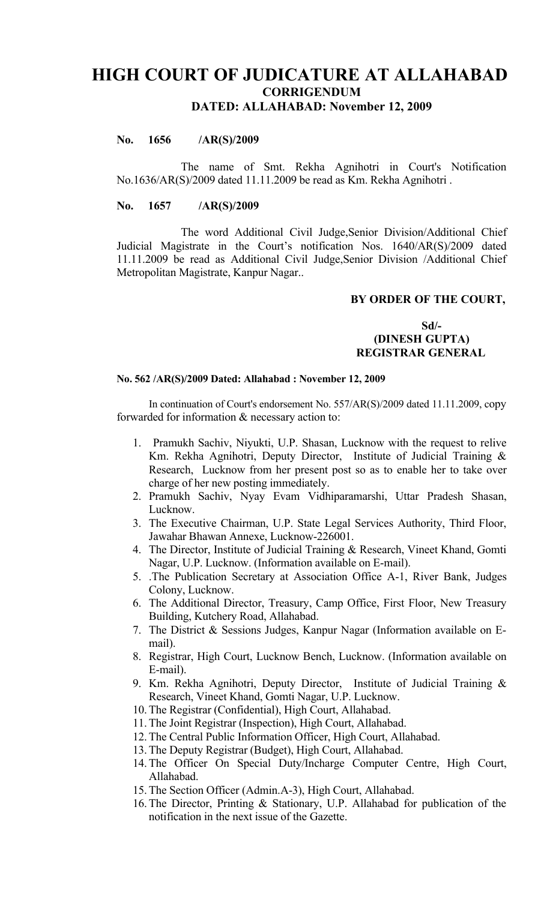# **HIGH COURT OF JUDICATURE AT ALLAHABAD CORRIGENDUM DATED: ALLAHABAD: November 12, 2009**

## **No. 1656 /AR(S)/2009**

The name of Smt. Rekha Agnihotri in Court's Notification No.1636/AR(S)/2009 dated 11.11.2009 be read as Km. Rekha Agnihotri .

#### **No. 1657 /AR(S)/2009**

The word Additional Civil Judge,Senior Division/Additional Chief Judicial Magistrate in the Court's notification Nos. 1640/AR(S)/2009 dated 11.11.2009 be read as Additional Civil Judge,Senior Division /Additional Chief Metropolitan Magistrate, Kanpur Nagar..

### **BY ORDER OF THE COURT,**

**Sd/- (DINESH GUPTA) REGISTRAR GENERAL**

#### **No. 562 /AR(S)/2009 Dated: Allahabad : November 12, 2009**

In continuation of Court's endorsement No. 557/AR(S)/2009 dated 11.11.2009, copy forwarded for information & necessary action to:

- 1. Pramukh Sachiv, Niyukti, U.P. Shasan, Lucknow with the request to relive Km. Rekha Agnihotri, Deputy Director, Institute of Judicial Training & Research, Lucknow from her present post so as to enable her to take over charge of her new posting immediately.
- 2. Pramukh Sachiv, Nyay Evam Vidhiparamarshi, Uttar Pradesh Shasan, Lucknow.
- 3. The Executive Chairman, U.P. State Legal Services Authority, Third Floor, Jawahar Bhawan Annexe, Lucknow-226001.
- 4. The Director, Institute of Judicial Training & Research, Vineet Khand, Gomti Nagar, U.P. Lucknow. (Information available on E-mail).
- 5. .The Publication Secretary at Association Office A-1, River Bank, Judges Colony, Lucknow.
- 6. The Additional Director, Treasury, Camp Office, First Floor, New Treasury Building, Kutchery Road, Allahabad.
- 7. The District & Sessions Judges, Kanpur Nagar (Information available on Email).
- 8. Registrar, High Court, Lucknow Bench, Lucknow. (Information available on E-mail).
- 9. Km. Rekha Agnihotri, Deputy Director, Institute of Judicial Training & Research, Vineet Khand, Gomti Nagar, U.P. Lucknow.
- 10.The Registrar (Confidential), High Court, Allahabad.
- 11.The Joint Registrar (Inspection), High Court, Allahabad.
- 12.The Central Public Information Officer, High Court, Allahabad.
- 13.The Deputy Registrar (Budget), High Court, Allahabad.
- 14.The Officer On Special Duty/Incharge Computer Centre, High Court, Allahabad.
- 15.The Section Officer (Admin.A-3), High Court, Allahabad.
- 16.The Director, Printing & Stationary, U.P. Allahabad for publication of the notification in the next issue of the Gazette.